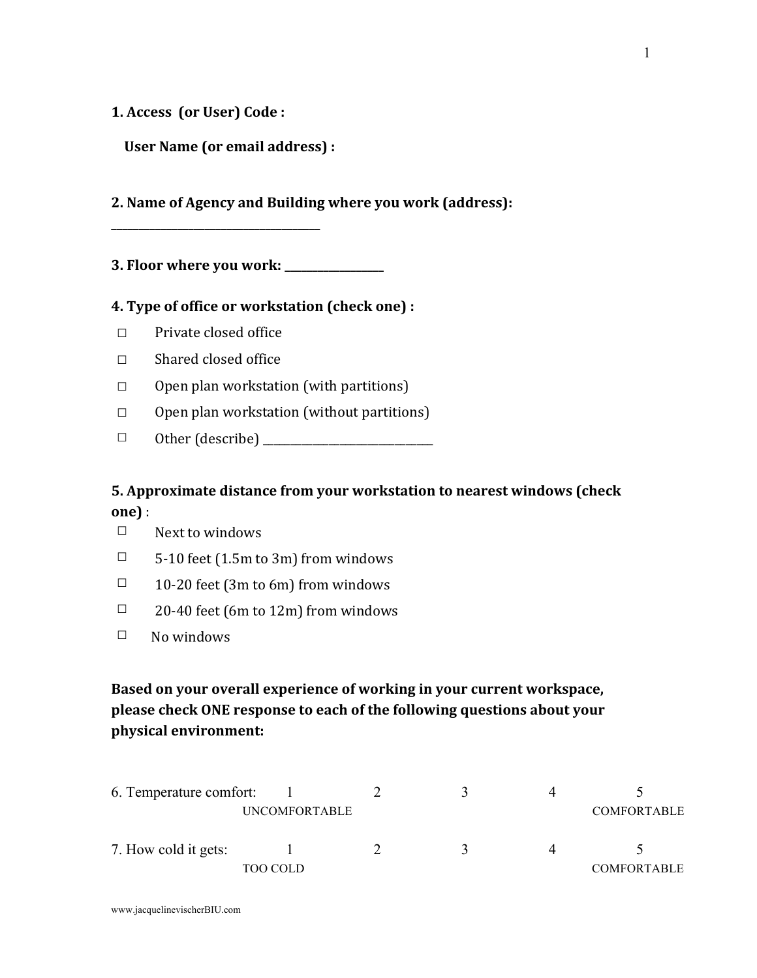**1. Access** (or User) Code:

User Name (or email address) :

**\_\_\_\_\_\_\_\_\_\_\_\_\_\_\_\_\_\_\_\_\_\_\_\_\_\_\_\_\_\_\_\_\_\_\_\_\_\_**

**2.** Name of Agency and Building where you work (address):

**3. Floor where you work: \_\_\_\_\_\_\_\_\_\_\_\_\_\_\_\_\_\_**

## **4.** Type of office or workstation (check one) :

- $□$  Private closed office
- $\Box$  Shared closed office
- $\Box$  Open plan workstation (with partitions)
- $\Box$  Open plan workstation (without partitions)
- ☐ Other (describe) \_\_\_\_\_\_\_\_\_\_\_\_\_\_\_\_\_\_\_\_\_\_\_\_\_\_\_\_\_\_\_

## **5.** Approximate distance from your workstation to nearest windows (check **one)** :

- $\square$  Next to windows
- $\Box$  5-10 feet (1.5m to 3m) from windows
- $\Box$  10-20 feet (3m to 6m) from windows
- $\square$  20-40 feet (6m to 12m) from windows
- $\square$  No windows

## **Based on your overall experience of working in your current workspace,** please check ONE response to each of the following questions about your **physical environment:**

| 6. Temperature comfort: |                      |  |                    |
|-------------------------|----------------------|--|--------------------|
|                         | <b>UNCOMFORTABLE</b> |  | <b>COMFORTABLE</b> |
| 7. How cold it gets:    |                      |  |                    |
|                         | FOO COLD             |  | <b>COMFORTABLE</b> |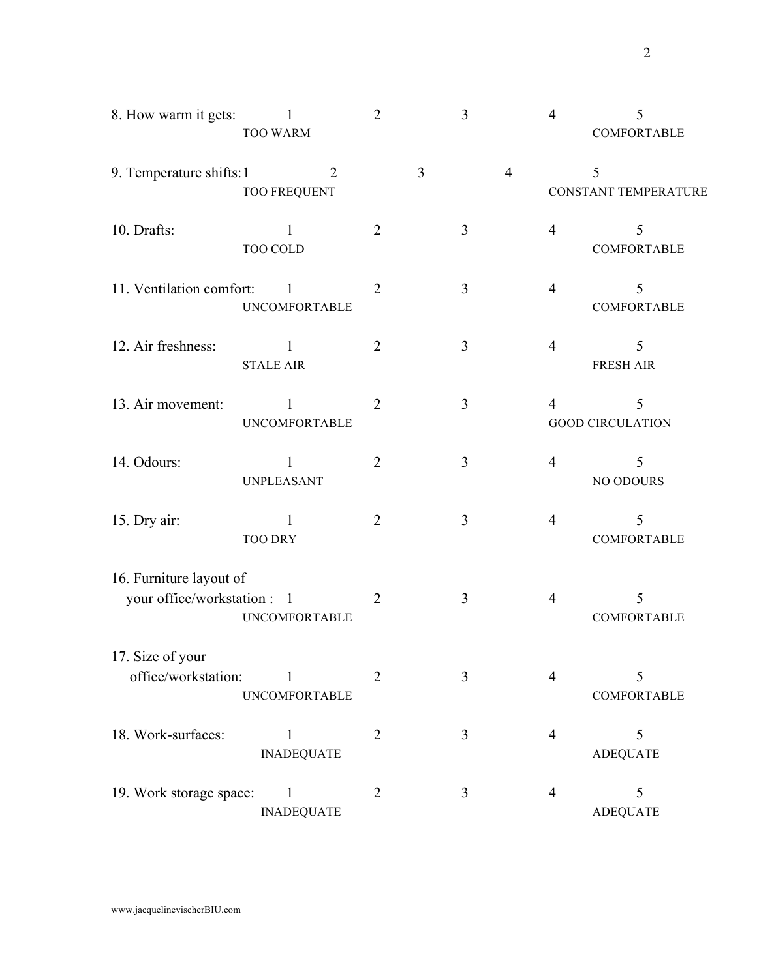| 8. How warm it gets:                                   | <b>TOO WARM</b>                       | $\overline{2}$ |   | 3              |                | $\overline{4}$ | 5<br>COMFORTABLE             |
|--------------------------------------------------------|---------------------------------------|----------------|---|----------------|----------------|----------------|------------------------------|
| 9. Temperature shifts: 1                               | $\overline{2}$<br><b>TOO FREQUENT</b> |                | 3 |                | $\overline{4}$ |                | 5<br>CONSTANT TEMPERATURE    |
| 10. Drafts:                                            | 1<br><b>TOO COLD</b>                  | $\overline{2}$ |   | 3              |                | $\overline{4}$ | 5<br>COMFORTABLE             |
| 11. Ventilation comfort:                               | 1<br><b>UNCOMFORTABLE</b>             | $\overline{2}$ |   | 3              |                | $\overline{4}$ | 5<br><b>COMFORTABLE</b>      |
| 12. Air freshness:                                     | 1<br><b>STALE AIR</b>                 | $\overline{2}$ |   | 3              |                | $\overline{4}$ | 5<br><b>FRESH AIR</b>        |
| 13. Air movement:                                      | 1<br><b>UNCOMFORTABLE</b>             | $\overline{2}$ |   | 3              |                | $\overline{4}$ | 5<br><b>GOOD CIRCULATION</b> |
| 14. Odours:                                            | <b>UNPLEASANT</b>                     | $\overline{2}$ |   | 3              |                | $\overline{4}$ | 5<br>NO ODOURS               |
| 15. Dry air:                                           | 1<br><b>TOO DRY</b>                   | $\overline{2}$ |   | $\mathfrak{Z}$ |                | $\overline{4}$ | 5<br>COMFORTABLE             |
| 16. Furniture layout of<br>your office/workstation : 1 | <b>UNCOMFORTABLE</b>                  | $\overline{2}$ |   | 3              |                | $\overline{4}$ | 5<br>COMFORTABLE             |
| 17. Size of your<br>office/workstation:                | $\mathbf{1}$<br><b>UNCOMFORTABLE</b>  | $\overline{2}$ |   | 3              |                | $\overline{4}$ | 5<br><b>COMFORTABLE</b>      |
| 18. Work-surfaces:                                     | $\mathbf{1}$<br><b>INADEQUATE</b>     | $\overline{2}$ |   | 3              |                | $\overline{4}$ | 5<br><b>ADEQUATE</b>         |
| 19. Work storage space:                                | $\mathbf{1}$<br><b>INADEQUATE</b>     | $\overline{2}$ |   | 3              |                | $\overline{4}$ | 5<br><b>ADEQUATE</b>         |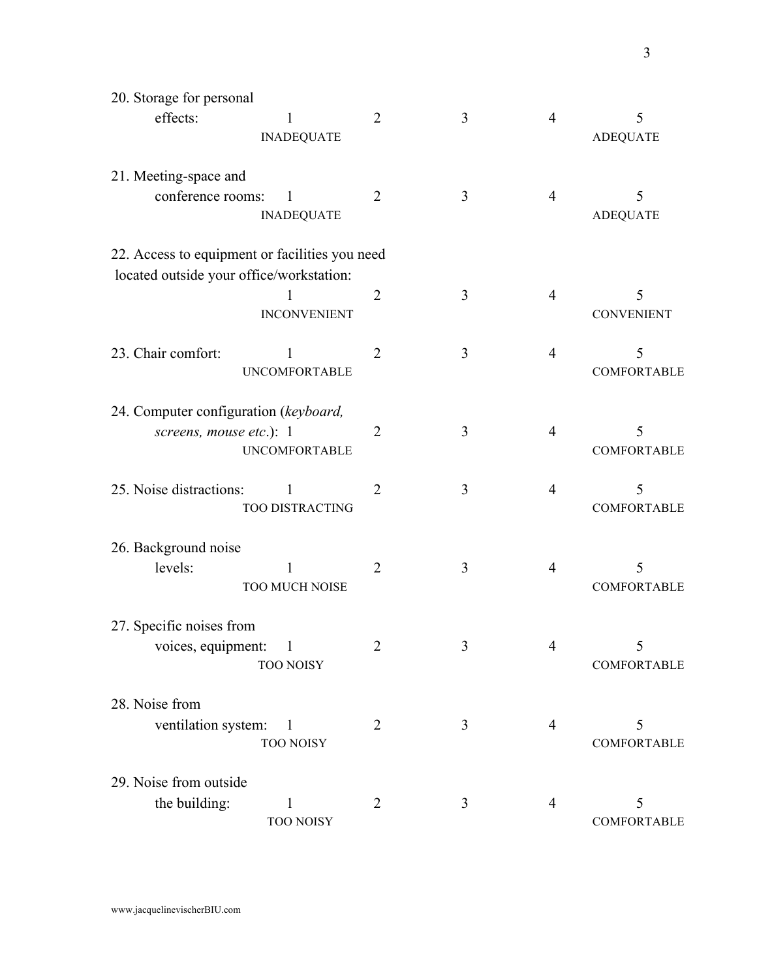| 20. Storage for personal                                                                   |                |   |                |                         |
|--------------------------------------------------------------------------------------------|----------------|---|----------------|-------------------------|
| effects:<br>1<br><b>INADEQUATE</b>                                                         | $\overline{2}$ | 3 | $\overline{4}$ | 5<br><b>ADEQUATE</b>    |
| 21. Meeting-space and<br>conference rooms:<br>I<br><b>INADEQUATE</b>                       | $\overline{2}$ | 3 | 4              | 5<br><b>ADEQUATE</b>    |
| 22. Access to equipment or facilities you need<br>located outside your office/workstation: |                |   |                |                         |
| 1<br><b>INCONVENIENT</b>                                                                   | $\overline{2}$ | 3 | $\overline{4}$ | 5<br><b>CONVENIENT</b>  |
| 23. Chair comfort:<br>1<br><b>UNCOMFORTABLE</b>                                            | $\overline{2}$ | 3 | $\overline{4}$ | 5<br><b>COMFORTABLE</b> |
| 24. Computer configuration (keyboard,<br>screens, mouse etc.): 1<br><b>UNCOMFORTABLE</b>   | 2              | 3 | 4              | 5<br>COMFORTABLE        |
| 25. Noise distractions:<br>1<br>TOO DISTRACTING                                            | $\overline{2}$ | 3 | $\overline{4}$ | 5<br>COMFORTABLE        |
| 26. Background noise<br>levels:<br>1<br>TOO MUCH NOISE                                     | $\overline{2}$ | 3 | $\overline{4}$ | 5<br>COMFORTABLE        |
| 27. Specific noises from<br>voices, equipment:<br>1<br><b>TOO NOISY</b>                    | 2              | 3 | $\overline{4}$ | 5<br>COMFORTABLE        |
| 28. Noise from<br>ventilation system:<br>$\overline{\phantom{a}}$<br><b>TOO NOISY</b>      | 2              | 3 | 4              | 5<br>COMFORTABLE        |
| 29. Noise from outside<br>the building:<br>1<br><b>TOO NOISY</b>                           | $\overline{2}$ | 3 | 4              | 5<br>COMFORTABLE        |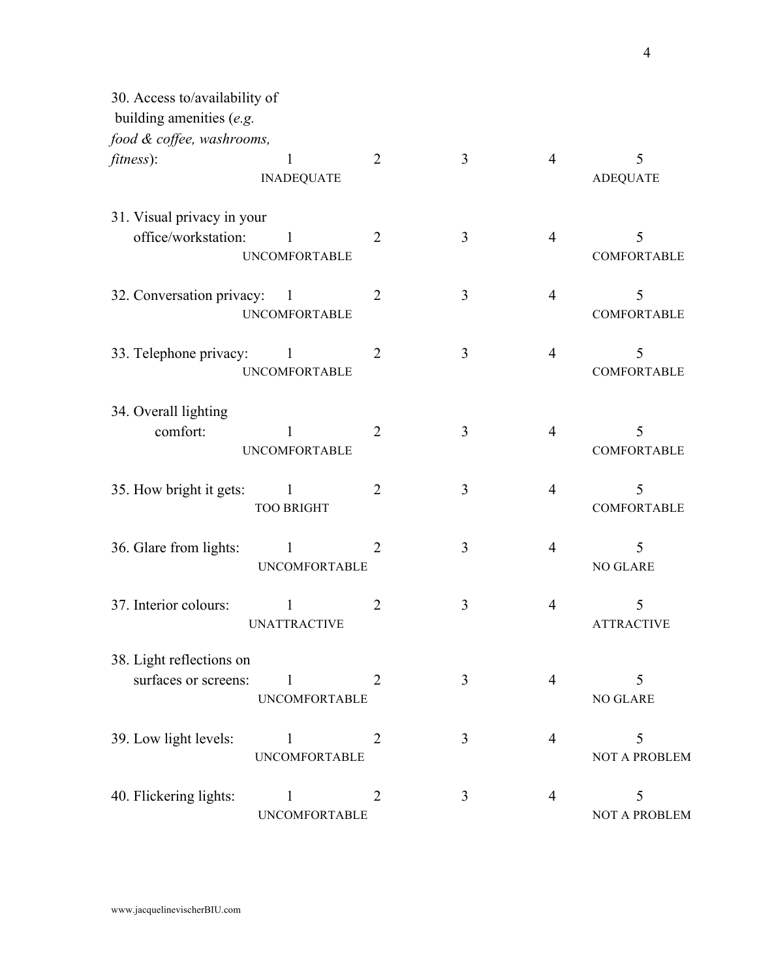| 30. Access to/availability of                    |                                        |                |   |                |                         |
|--------------------------------------------------|----------------------------------------|----------------|---|----------------|-------------------------|
| building amenities (e.g.                         |                                        |                |   |                |                         |
| food & coffee, washrooms,                        |                                        |                |   |                |                         |
| fitness):                                        | 1<br><b>INADEQUATE</b>                 | $\overline{2}$ | 3 | $\overline{4}$ | 5<br><b>ADEQUATE</b>    |
| 31. Visual privacy in your                       |                                        |                |   |                |                         |
| office/workstation:                              | 1<br><b>UNCOMFORTABLE</b>              | $\overline{2}$ | 3 | $\overline{4}$ | 5<br>COMFORTABLE        |
| 32. Conversation privacy:                        | $\blacksquare$<br><b>UNCOMFORTABLE</b> | $\overline{2}$ | 3 | $\overline{4}$ | 5<br><b>COMFORTABLE</b> |
| 33. Telephone privacy:                           | $\mathbf{1}$<br><b>UNCOMFORTABLE</b>   | $\overline{2}$ | 3 | $\overline{4}$ | 5<br><b>COMFORTABLE</b> |
| 34. Overall lighting<br>comfort:                 | 1<br><b>UNCOMFORTABLE</b>              | $\overline{2}$ | 3 | $\overline{4}$ | 5<br><b>COMFORTABLE</b> |
| 35. How bright it gets:                          | 1<br><b>TOO BRIGHT</b>                 | $\overline{2}$ | 3 | 4              | 5<br><b>COMFORTABLE</b> |
| 36. Glare from lights:                           | $\mathbf{1}$<br><b>UNCOMFORTABLE</b>   | $\overline{2}$ | 3 | 4              | 5<br>NO GLARE           |
| 37. Interior colours:                            | 1<br><b>UNATTRACTIVE</b>               | $\overline{2}$ | 3 | 4              | 5<br><b>ATTRACTIVE</b>  |
| 38. Light reflections on<br>surfaces or screens: | $\mathbf{1}$<br><b>UNCOMFORTABLE</b>   | 2              | 3 | 4              | 5<br>NO GLARE           |
| 39. Low light levels:                            | $\mathbf{1}$<br><b>UNCOMFORTABLE</b>   | $\overline{2}$ | 3 | $\overline{4}$ | 5<br>NOT A PROBLEM      |
| 40. Flickering lights:                           | $\mathbf{1}$<br><b>UNCOMFORTABLE</b>   | $\overline{2}$ | 3 | $\overline{4}$ | 5<br>NOT A PROBLEM      |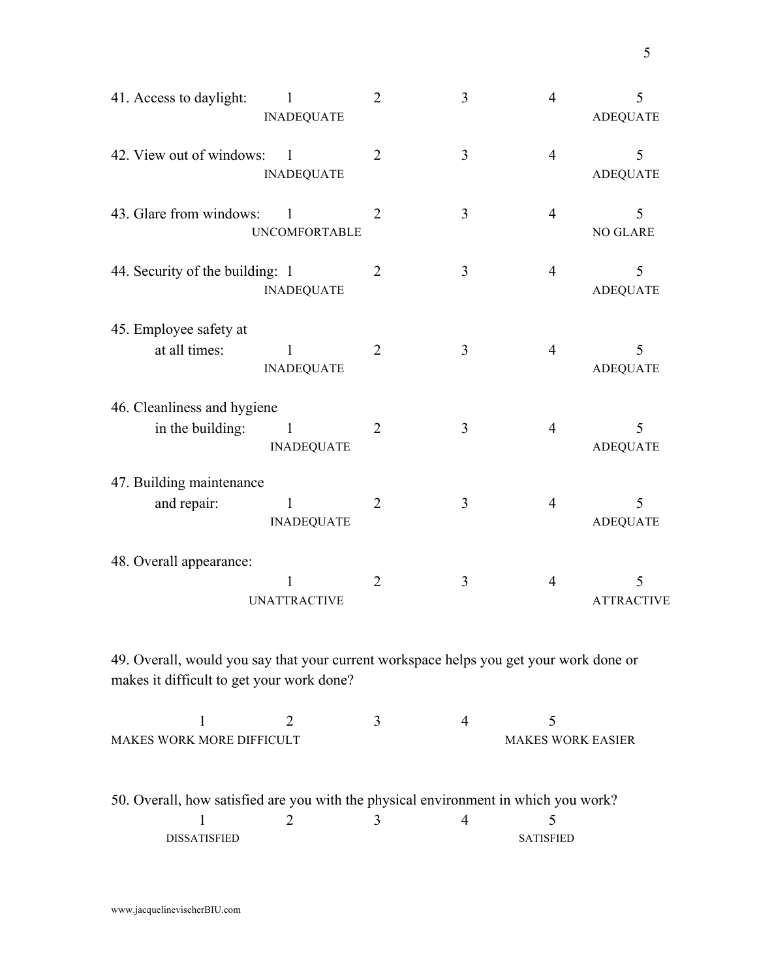| 41. Access to daylight:                                                                | $\mathbf{1}$<br><b>INADEQUATE</b>   | $\overline{2}$ | 3 | $\overline{4}$ | 5<br><b>ADEQUATE</b> |
|----------------------------------------------------------------------------------------|-------------------------------------|----------------|---|----------------|----------------------|
| 42. View out of windows:                                                               | $\overline{1}$<br><b>INADEQUATE</b> | $\overline{2}$ | 3 | $\overline{4}$ | 5<br><b>ADEQUATE</b> |
| 43. Glare from windows:                                                                | 1<br><b>UNCOMFORTABLE</b>           | $\overline{2}$ | 3 | $\overline{4}$ | 5<br><b>NO GLARE</b> |
| 44. Security of the building: 1                                                        | <b>INADEQUATE</b>                   | $\overline{2}$ | 3 | $\overline{4}$ | 5<br><b>ADEQUATE</b> |
| 45. Employee safety at<br>at all times:                                                | $\mathbf{1}$<br><b>INADEQUATE</b>   | $\overline{2}$ | 3 | $\overline{4}$ | 5<br><b>ADEQUATE</b> |
| 46. Cleanliness and hygiene                                                            |                                     |                |   |                |                      |
| in the building:                                                                       | $\mathbf{1}$<br><b>INADEQUATE</b>   | $\overline{2}$ | 3 | $\overline{4}$ | 5<br><b>ADEQUATE</b> |
| 47. Building maintenance                                                               |                                     |                |   |                |                      |
| and repair:                                                                            | $\mathbf{1}$<br><b>INADEQUATE</b>   | $\overline{2}$ | 3 | $\overline{4}$ | 5<br><b>ADEQUATE</b> |
| 48. Overall appearance:                                                                | $\mathbf{1}$                        | $\overline{2}$ | 3 | $\overline{4}$ | 5                    |
|                                                                                        | <b>UNATTRACTIVE</b>                 |                |   |                | <b>ATTRACTIVE</b>    |
| 49. Overall, would you say that your current workspace helps you get your work done or |                                     |                |   |                |                      |

makes it difficult to get your work done?

| <b>MAKES WORK MORE DIFFICULT</b> |  | <b>MAKES WORK EASIER</b> |
|----------------------------------|--|--------------------------|

50. Overall, how satisfied are you with the physical environment in which you work?

|                     | - | ັ                |
|---------------------|---|------------------|
| <b>DISSATISFIED</b> |   | <b>SATISFIED</b> |